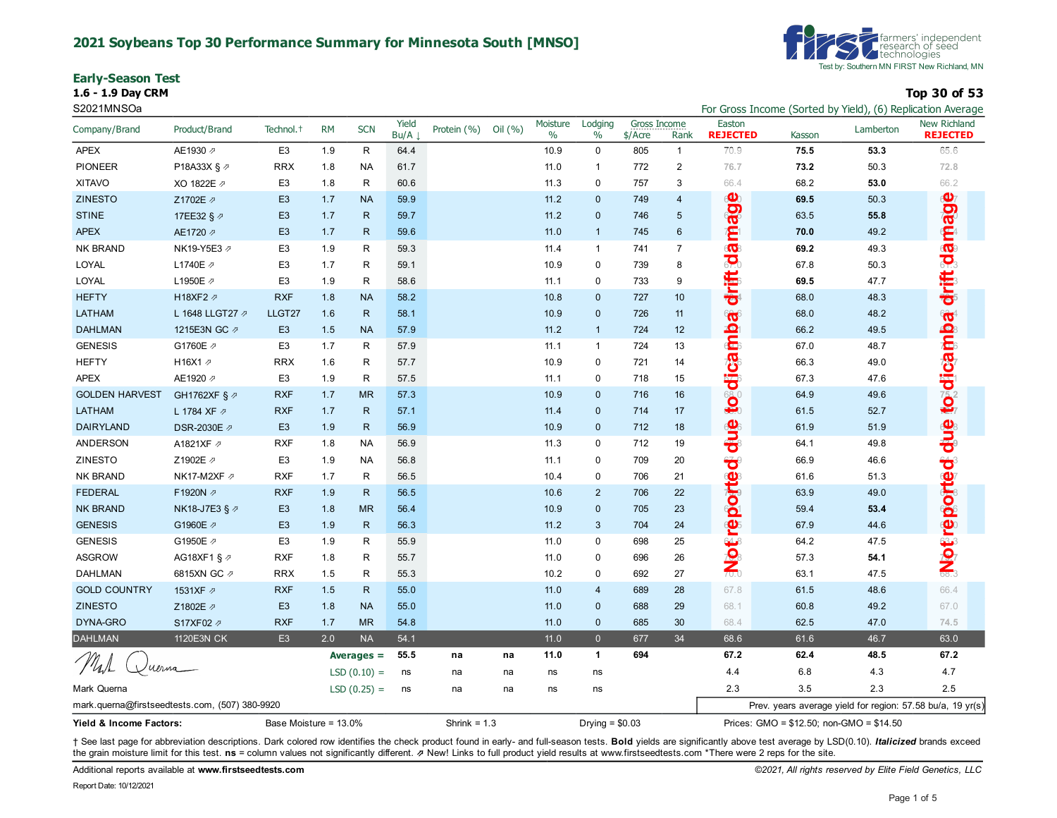### **2021 Soybeans Top 30 Performance Summary for Minnesota South [MNSO]**

**Early-Season Test 1.6 - 1.9 Day CRM Top 30 of 53**



S2021MNSOa For Gross Income (Sorted by Yield), (6) Replication Average Sorted by Yield), (6) Replication Average

|                                                |                 |                       | <b>RM</b> |               | Yield |                |         | Moisture | Lodging          | Gross Income |                | Easton                  |                                          | $\frac{1}{2}$ or all correct by $\frac{1}{2}$ relative the contraction $\frac{1}{2}$ | New Richland                                               |
|------------------------------------------------|-----------------|-----------------------|-----------|---------------|-------|----------------|---------|----------|------------------|--------------|----------------|-------------------------|------------------------------------------|--------------------------------------------------------------------------------------|------------------------------------------------------------|
| Company/Brand                                  | Product/Brand   | Technol. <sup>+</sup> |           | <b>SCN</b>    | Bu/A  | Protein (%)    | Oil (%) | $\%$     | $\%$             | \$/Acre      | Rank           | <b>REJECTED</b>         | Kasson                                   | Lamberton                                                                            | <b>REJECTED</b>                                            |
| <b>APEX</b>                                    | AE1930 2        | E <sub>3</sub>        | 1.9       | $\mathsf{R}$  | 64.4  |                |         | 10.9     | $\mathbf 0$      | 805          | $\mathbf{1}$   | 70.9                    | 75.5                                     | 53.3                                                                                 | 65.6                                                       |
| <b>PIONEER</b>                                 | P18A33X § 2     | <b>RRX</b>            | 1.8       | <b>NA</b>     | 61.7  |                |         | 11.0     | $\mathbf{1}$     | 772          | $\mathbf 2$    | 76.7                    | 73.2                                     | 50.3                                                                                 | 72.8                                                       |
| <b>XITAVO</b>                                  | XO 1822E 2      | E <sub>3</sub>        | 1.8       | $\mathsf{R}$  | 60.6  |                |         | 11.3     | $\mathbf 0$      | 757          | 3              | 66.4                    | 68.2                                     | 53.0                                                                                 | 66.2                                                       |
| <b>ZINESTO</b>                                 | Z1702E 2        | E <sub>3</sub>        | 1.7       | <b>NA</b>     | 59.9  |                |         | 11.2     | $\Omega$         | 749          | 4              |                         | 69.5                                     | 50.3                                                                                 |                                                            |
| <b>STINE</b>                                   | 17EE32 § 2      | E <sub>3</sub>        | 1.7       | $\mathsf{R}$  | 59.7  |                |         | 11.2     | $\mathbf 0$      | 746          | 5              | age                     | 63.5                                     | 55.8                                                                                 | age                                                        |
| <b>APEX</b>                                    | AE1720 2        | E <sub>3</sub>        | 1.7       | $\mathsf{R}$  | 59.6  |                |         | 11.0     | $\mathbf{1}$     | 745          | $6\phantom{1}$ | Ê                       | 70.0                                     | 49.2                                                                                 | ë                                                          |
| <b>NK BRAND</b>                                | NK19-Y5E3 ₽     | E <sub>3</sub>        | 1.9       | $\mathsf{R}$  | 59.3  |                |         | 11.4     | $\mathbf{1}$     | 741          | $\overline{7}$ | <b>CO</b>               | 69.2                                     | 49.3                                                                                 | $\overline{\mathbf{Q}}$                                    |
| LOYAL                                          | L1740E 2        | E <sub>3</sub>        | 1.7       | $\mathsf R$   | 59.1  |                |         | 10.9     | $\mathbf 0$      | 739          | 8              | $\overline{\mathbf{C}}$ | 67.8                                     | 50.3                                                                                 | $\overline{\mathbf{C}}$                                    |
| LOYAL                                          | L1950E 2        | E <sub>3</sub>        | 1.9       | $\mathsf R$   | 58.6  |                |         | 11.1     | $\mathbf 0$      | 733          | 9              | drift                   | 69.5                                     | 47.7                                                                                 | drift                                                      |
| <b>HEFTY</b>                                   | H18XF2 2        | <b>RXF</b>            | 1.8       | <b>NA</b>     | 58.2  |                |         | 10.8     | $\mathbf{0}$     | 727          | 10             |                         | 68.0                                     | 48.3                                                                                 |                                                            |
| LATHAM                                         | L 1648 LLGT27 2 | LLGT27                | 1.6       | $\mathsf{R}$  | 58.1  |                |         | 10.9     | $\mathbf{0}$     | 726          | 11             | E                       | 68.0                                     | 48.2                                                                                 |                                                            |
| <b>DAHLMAN</b>                                 | 1215E3N GC 2    | E <sub>3</sub>        | 1.5       | <b>NA</b>     | 57.9  |                |         | 11.2     | $\mathbf{1}$     | 724          | 12             | e<br>Gre                | 66.2                                     | 49.5                                                                                 |                                                            |
| <b>GENESIS</b>                                 | G1760E /        | E <sub>3</sub>        | 1.7       | R             | 57.9  |                |         | 11.1     | $\mathbf{1}$     | 724          | 13             |                         | 67.0                                     | 48.7                                                                                 |                                                            |
| <b>HEFTY</b>                                   | H16X1 2         | <b>RRX</b>            | 1.6       | $\mathsf R$   | 57.7  |                |         | 10.9     | $\mathbf 0$      | 721          | 14             |                         | 66.3                                     | 49.0                                                                                 |                                                            |
| <b>APEX</b>                                    | AE1920 2        | E <sub>3</sub>        | 1.9       | ${\sf R}$     | 57.5  |                |         | 11.1     | $\mathbf 0$      | 718          | 15             |                         | 67.3                                     | 47.6                                                                                 |                                                            |
| <b>GOLDEN HARVEST</b>                          | GH1762XF § 2    | <b>RXF</b>            | 1.7       | <b>MR</b>     | 57.3  |                |         | 10.9     | $\Omega$         | 716          | 16             | to dica                 | 64.9                                     | 49.6                                                                                 | to dicamba                                                 |
| LATHAM                                         | L 1784 XF 2     | <b>RXF</b>            | 1.7       | $\mathsf{R}$  | 57.1  |                |         | 11.4     | $\mathbf 0$      | 714          | 17             |                         | 61.5                                     | 52.7                                                                                 |                                                            |
| <b>DAIRYLAND</b>                               | DSR-2030E 2     | E <sub>3</sub>        | 1.9       | $\mathsf{R}$  | 56.9  |                |         | 10.9     | $\mathbf 0$      | 712          | 18             | due                     | 61.9                                     | 51.9                                                                                 | gnp                                                        |
| ANDERSON                                       | A1821XF 2       | <b>RXF</b>            | 1.8       | <b>NA</b>     | 56.9  |                |         | 11.3     | $\mathbf 0$      | 712          | 19             |                         | 64.1                                     | 49.8                                                                                 |                                                            |
| ZINESTO                                        | Z1902E 2        | E <sub>3</sub>        | 1.9       | <b>NA</b>     | 56.8  |                |         | 11.1     | $\mathbf 0$      | 709          | 20             | ₩                       | 66.9                                     | 46.6                                                                                 |                                                            |
| <b>NK BRAND</b>                                | NK17-M2XF ⊉     | <b>RXF</b>            | 1.7       | $\mathsf{R}$  | 56.5  |                |         | 10.4     | $\mathbf 0$      | 706          | 21             |                         | 61.6                                     | 51.3                                                                                 |                                                            |
| <b>FEDERAL</b>                                 | F1920N 2        | <b>RXF</b>            | 1.9       | R.            | 56.5  |                |         | 10.6     | 2                | 706          | 22             |                         | 63.9                                     | 49.0                                                                                 |                                                            |
| <b>NK BRAND</b>                                | NK18-J7E3 § ⊅   | E <sub>3</sub>        | 1.8       | <b>MR</b>     | 56.4  |                |         | 10.9     | $\mathbf 0$      | 705          | 23             |                         | 59.4                                     | 53.4                                                                                 |                                                            |
| <b>GENESIS</b>                                 | G1960E 2        | E <sub>3</sub>        | 1.9       | $\mathsf{R}$  | 56.3  |                |         | 11.2     | 3                | 704          | 24             | reporte                 | 67.9                                     | 44.6                                                                                 | Notreported                                                |
| <b>GENESIS</b>                                 | G1950E 2        | E <sub>3</sub>        | 1.9       | $\mathsf{R}$  | 55.9  |                |         | 11.0     | $\mathbf 0$      | 698          | 25             | 64                      | 64.2                                     | 47.5                                                                                 |                                                            |
| <b>ASGROW</b>                                  | AG18XF1 § ⊉     | <b>RXF</b>            | 1.8       | ${\sf R}$     | 55.7  |                |         | 11.0     | $\mathbf 0$      | 696          | 26             | $\frac{1}{2}$           | 57.3                                     | 54.1                                                                                 |                                                            |
| <b>DAHLMAN</b>                                 | 6815XN GC 2     | <b>RRX</b>            | 1.5       | $\mathsf{R}$  | 55.3  |                |         | 10.2     | $\mathbf 0$      | 692          | 27             |                         | 63.1                                     | 47.5                                                                                 |                                                            |
| <b>GOLD COUNTRY</b>                            | 1531XF 2        | <b>RXF</b>            | 1.5       | ${\sf R}$     | 55.0  |                |         | 11.0     | $\overline{4}$   | 689          | 28             | 67.8                    | 61.5                                     | 48.6                                                                                 | 66.4                                                       |
| <b>ZINESTO</b>                                 | Z1802E 2        | E <sub>3</sub>        | 1.8       | <b>NA</b>     | 55.0  |                |         | 11.0     | $\mathbf 0$      | 688          | 29             | 68.1                    | 60.8                                     | 49.2                                                                                 | 67.0                                                       |
| DYNA-GRO                                       | S17XF02 2       | <b>RXF</b>            | 1.7       | <b>MR</b>     | 54.8  |                |         | 11.0     | $\mathbf 0$      | 685          | 30             | 68.4                    | 62.5                                     | 47.0                                                                                 | 74.5                                                       |
| <b>DAHLMAN</b>                                 | 1120E3N CK      | E <sub>3</sub>        | 2.0       | <b>NA</b>     | 54.1  |                |         | 11.0     | $\overline{0}$   | 677          | 34             | 68.6                    | 61.6                                     | 46.7                                                                                 | 63.0                                                       |
|                                                |                 |                       |           | Averages $=$  | 55.5  | na             | na      | 11.0     | 1                | 694          |                | 67.2                    | 62.4                                     | 48.5                                                                                 | 67.2                                                       |
| uerna                                          |                 |                       |           | $LSD(0.10) =$ | ns    | na             | na      | ns       | ns               |              |                | 4.4                     | 6.8                                      | 4.3                                                                                  | 4.7                                                        |
| Mark Querna                                    |                 |                       |           | $LSD(0.25) =$ | ns    | na             | na      | ns       | ns               |              |                | 2.3                     | 3.5                                      | 2.3                                                                                  | 2.5                                                        |
| mark.querna@firstseedtests.com, (507) 380-9920 |                 |                       |           |               |       |                |         |          |                  |              |                |                         |                                          |                                                                                      | Prev. years average yield for region: 57.58 bu/a, 19 yr(s) |
| Yield & Income Factors:                        |                 | Base Moisture = 13.0% |           |               |       | Shrink = $1.3$ |         |          | Drying = $$0.03$ |              |                |                         | Prices: GMO = \$12.50; non-GMO = \$14.50 |                                                                                      |                                                            |

+ See last page for abbreviation descriptions. Dark colored row identifies the check product found in early- and full-season tests. Bold yields are significantly above test average by LSD(0.10). Italicized brands exceed the grain moisture limit for this test. **ns** = column values not significantly different. ⇗ New! Links to full product yield results at www.firstseedtests.com \*There were 2 reps for the site.

Additional reports available at **[www.firstseedtests.com](https://www.firstseedtests.com)** *©2021, All rights reserved by Elite Field Genetics, LLC*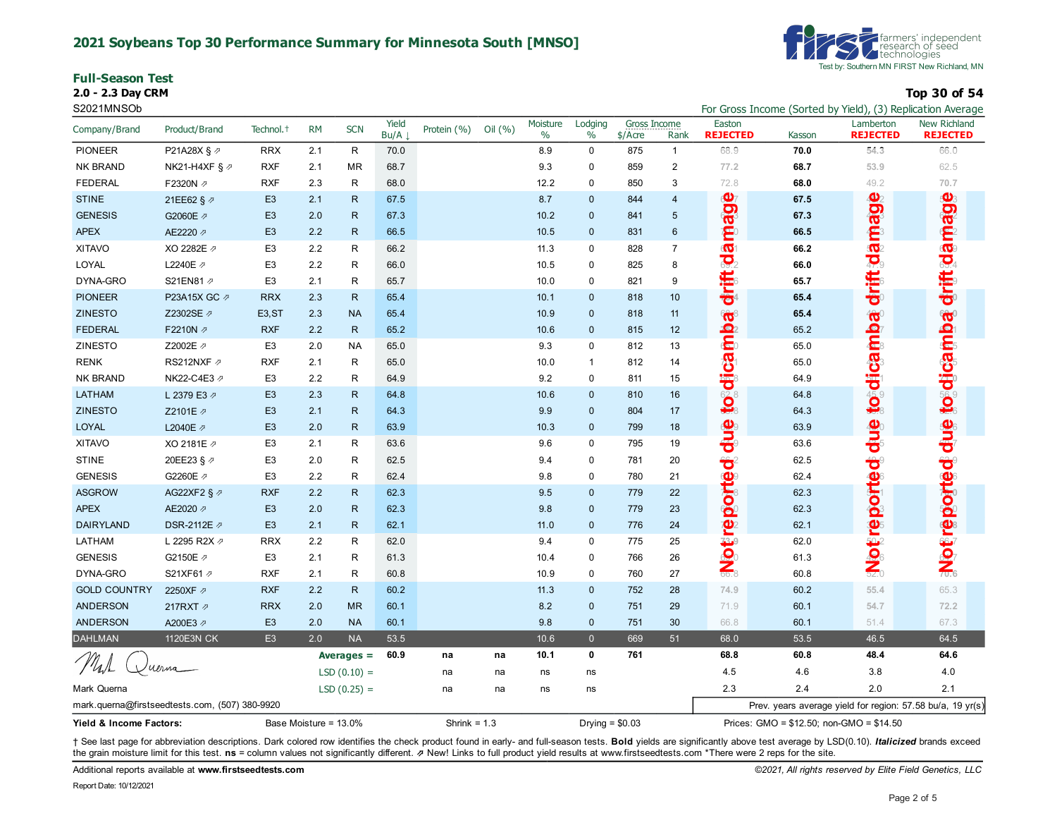### **2021 Soybeans Top 30 Performance Summary for Minnesota South [MNSO]**

|  | <b>Full-Season Test</b> |  |
|--|-------------------------|--|
|--|-------------------------|--|

**2.0 - 2.3 Day CRM Top 30 of 54**



S2021MNSOb For Gross Income (Sorted by Yield), (3) Replication Average

| Company/Brand                                  | Product/Brand             | Technol. <sup>+</sup> | <b>RM</b>             | <b>SCN</b>    | Yield<br>Bu/A | Protein (%)    | Oil (%) | Moisture<br>$\%$ | Lodging<br>$\%$  | Gross Income<br>$$/$ Acre | Rank           | Easton<br><b>REJECTED</b> | Kasson | Lamberton<br><b>REJECTED</b>                               | New Richland<br><b>REJECTED</b> |
|------------------------------------------------|---------------------------|-----------------------|-----------------------|---------------|---------------|----------------|---------|------------------|------------------|---------------------------|----------------|---------------------------|--------|------------------------------------------------------------|---------------------------------|
| <b>PIONEER</b>                                 | P21A28X § 2               | <b>RRX</b>            | 2.1                   | R             | 70.0          |                |         | 8.9              | $\pmb{0}$        | 875                       | $\mathbf{1}$   | 68.9                      | 70.0   | 54.3                                                       | 66.0                            |
| <b>NK BRAND</b>                                | NK21-H4XF § $\varnothing$ | <b>RXF</b>            | 2.1                   | <b>MR</b>     | 68.7          |                |         | 9.3              | 0                | 859                       | $\overline{c}$ | 77.2                      | 68.7   | 53.9                                                       | 62.5                            |
| <b>FEDERAL</b>                                 | F2320N 2                  | <b>RXF</b>            | 2.3                   | R             | 68.0          |                |         | 12.2             | $\pmb{0}$        | 850                       | 3              | 72.8                      | 68.0   | 49.2                                                       | 70.7                            |
| <b>STINE</b>                                   | 21EE62 § 2                | E <sub>3</sub>        | 2.1                   | R             | 67.5          |                |         | 8.7              | $\mathbf{0}$     | 844                       | $\overline{4}$ | $\bullet$                 | 67.5   | $\mathbf{\Phi}$                                            | age                             |
| <b>GENESIS</b>                                 | G2060E 2                  | E <sub>3</sub>        | 2.0                   | $\mathsf{R}$  | 67.3          |                |         | 10.2             | $\mathbf{0}$     | 841                       | 5              | <b>De</b>                 | 67.3   | <b>De</b>                                                  |                                 |
| <b>APEX</b>                                    | AE2220 2                  | E <sub>3</sub>        | 2.2                   | $\mathsf{R}$  | 66.5          |                |         | 10.5             | $\pmb{0}$        | 831                       | 6              | $\mathbf{C}$              | 66.5   | $\mathbf{Z}^3$                                             |                                 |
| <b>XITAVO</b>                                  | XO 2282E /                | E <sub>3</sub>        | 2.2                   | R.            | 66.2          |                |         | 11.3             | $\mathbf 0$      | 828                       | $\overline{7}$ | $\overline{\mathbf{Q}}$   | 66.2   | $\overline{\mathbf{10}}$                                   | driftsdam                       |
| LOYAL                                          | L2240E 2                  | E <sub>3</sub>        | 2.2                   | R             | 66.0          |                |         | 10.5             | 0                | 825                       | 8              | $\overline{S}$            | 66.0   | $\overline{\mathbf{P}}_0$                                  |                                 |
| DYNA-GRO                                       | S21EN81 2                 | E <sub>3</sub>        | 2.1                   | $\mathsf{R}$  | 65.7          |                |         | 10.0             | $\pmb{0}$        | 821                       | 9              | drift                     | 65.7   | drift                                                      |                                 |
| <b>PIONEER</b>                                 | P23A15X GC 2              | <b>RRX</b>            | 2.3                   | R             | 65.4          |                |         | 10.1             | $\mathbf{0}$     | 818                       | 10             |                           | 65.4   |                                                            |                                 |
| <b>ZINESTO</b>                                 | Z2302SE ク                 | E <sub>3</sub> , ST   | 2.3                   | <b>NA</b>     | 65.4          |                |         | 10.9             | $\mathbf 0$      | 818                       | 11             | G.                        | 65.4   |                                                            |                                 |
| <b>FEDERAL</b>                                 | F2210N 2                  | <b>RXF</b>            | 2.2                   | $\mathsf{R}$  | 65.2          |                |         | 10.6             | $\pmb{0}$        | 815                       | 12             |                           | 65.2   |                                                            |                                 |
| ZINESTO                                        | Z2002E ク                  | E <sub>3</sub>        | 2.0                   | <b>NA</b>     | 65.0          |                |         | 9.3              | $\mathbf 0$      | 812                       | 13             |                           | 65.0   |                                                            |                                 |
| <b>RENK</b>                                    | RS212NXF 2                | <b>RXF</b>            | 2.1                   | R             | 65.0          |                |         | 10.0             | $\mathbf{1}$     | 812                       | 14             |                           | 65.0   |                                                            |                                 |
| <b>NK BRAND</b>                                | NK22-C4E3 2               | E <sub>3</sub>        | 2.2                   | R             | 64.9          |                |         | 9.2              | 0                | 811                       | 15             |                           | 64.9   |                                                            |                                 |
| LATHAM                                         | L 2379 E3 2               | E <sub>3</sub>        | 2.3                   | $\mathsf{R}$  | 64.8          |                |         | 10.6             | $\pmb{0}$        | 810                       | 16             | to di ca                  | 64.8   | <b>to dicamba</b>                                          | <b>Poluteolog</b>               |
| <b>ZINESTO</b>                                 | Z2101E 2                  | E <sub>3</sub>        | 2.1                   | $\mathsf{R}$  | 64.3          |                |         | 9.9              | $\mathbf 0$      | 804                       | 17             |                           | 64.3   |                                                            |                                 |
| <b>LOYAL</b>                                   | L2040E 2                  | E <sub>3</sub>        | 2.0                   | $\mathsf{R}$  | 63.9          |                |         | 10.3             | $\pmb{0}$        | 799                       | 18             | due<br>d                  | 63.9   | due                                                        | anp to reported due             |
| <b>XITAVO</b>                                  | XO 2181E 2                | E <sub>3</sub>        | 2.1                   | R             | 63.6          |                |         | 9.6              | $\pmb{0}$        | 795                       | 19             |                           | 63.6   |                                                            |                                 |
| <b>STINE</b>                                   | 20EE23 § 2                | E <sub>3</sub>        | 2.0                   | $\mathsf{R}$  | 62.5          |                |         | 9.4              | $\pmb{0}$        | 781                       | 20             |                           | 62.5   |                                                            |                                 |
| <b>GENESIS</b>                                 | G2260E 2                  | E <sub>3</sub>        | 2.2                   | $\mathsf{R}$  | 62.4          |                |         | 9.8              | 0                | 780                       | 21             |                           | 62.4   |                                                            |                                 |
| <b>ASGROW</b>                                  | AG22XF2 § 2               | <b>RXF</b>            | 2.2                   | $\mathsf{R}$  | 62.3          |                |         | 9.5              | $\mathbf 0$      | 779                       | 22             |                           | 62.3   |                                                            |                                 |
| <b>APEX</b>                                    | AE2020 2                  | E <sub>3</sub>        | 2.0                   | $\mathsf{R}$  | 62.3          |                |         | 9.8              | $\pmb{0}$        | 779                       | 23             |                           | 62.3   |                                                            |                                 |
| <b>DAIRYLAND</b>                               | DSR-2112E ク               | E <sub>3</sub>        | 2.1                   | $\mathsf{R}$  | 62.1          |                |         | 11.0             | $\mathbf 0$      | 776                       | 24             | Notreported               | 62.1   | Notreported                                                |                                 |
| LATHAM                                         | L 2295 R2X $\varnothing$  | <b>RRX</b>            | 2.2                   | ${\sf R}$     | 62.0          |                |         | 9.4              | $\pmb{0}$        | 775                       | 25             |                           | 62.0   |                                                            |                                 |
| <b>GENESIS</b>                                 | G2150E /                  | E <sub>3</sub>        | 2.1                   | $\mathsf{R}$  | 61.3          |                |         | 10.4             | $\mathbf 0$      | 766                       | 26             |                           | 61.3   |                                                            |                                 |
| DYNA-GRO                                       | S21XF61 2                 | <b>RXF</b>            | 2.1                   | $\mathsf{R}$  | 60.8          |                |         | 10.9             | $\mathbf 0$      | 760                       | 27             |                           | 60.8   |                                                            |                                 |
| <b>GOLD COUNTRY</b>                            | 2250XF 2                  | <b>RXF</b>            | 2.2                   | $\mathsf{R}$  | 60.2          |                |         | 11.3             | $\mathbf 0$      | 752                       | 28             | 74.9                      | 60.2   | 55.4                                                       | 65.3                            |
| <b>ANDERSON</b>                                | 217RXT 2                  | <b>RRX</b>            | 2.0                   | <b>MR</b>     | 60.1          |                |         | 8.2              | $\pmb{0}$        | 751                       | 29             | 71.9                      | 60.1   | 54.7                                                       | 72.2                            |
| <b>ANDERSON</b>                                | A200E3 2                  | E <sub>3</sub>        | 2.0                   | <b>NA</b>     | 60.1          |                |         | 9.8              | $\mathbf 0$      | 751                       | 30             | 66.8                      | 60.1   | 51.4                                                       | 67.3                            |
| <b>DAHLMAN</b>                                 | 1120E3N CK                | E <sub>3</sub>        | 2.0                   | <b>NA</b>     | 53.5          |                |         | 10.6             | $\overline{0}$   | 669                       | 51             | 68.0                      | 53.5   | 46.5                                                       | 64.5                            |
|                                                |                           |                       |                       | Averages $=$  | 60.9          | na             | na      | 10.1             | $\mathbf 0$      | 761                       |                | 68.8                      | 60.8   | 48.4                                                       | 64.6                            |
|                                                |                           |                       |                       | $LSD(0.10) =$ |               | na             | na      | ns               | ns               |                           |                | 4.5                       | 4.6    | 3.8                                                        | 4.0                             |
| Mark Querna                                    |                           |                       |                       | $LSD(0.25) =$ |               | na             | na      | ns               | ns               |                           |                | 2.3                       | 2.4    | 2.0                                                        | 2.1                             |
| mark.querna@firstseedtests.com, (507) 380-9920 |                           |                       |                       |               |               |                |         |                  |                  |                           |                |                           |        | Prev. years average yield for region: 57.58 bu/a, 19 yr(s) |                                 |
| Yield & Income Factors:                        |                           |                       | Base Moisture = 13.0% |               |               | Shrink = $1.3$ |         |                  | Drying = $$0.03$ |                           |                |                           |        | Prices: GMO = \$12.50; non-GMO = \$14.50                   |                                 |

+ See last page for abbreviation descriptions. Dark colored row identifies the check product found in early- and full-season tests. Bold yields are significantly above test average by LSD(0.10). Italicized brands exceed the grain moisture limit for this test. ns = column values not significantly different. **z** New! Links to full product yield results at www.firstseedtests.com \*There were 2 reps for the site.

Additional reports available at **[www.firstseedtests.com](https://www.firstseedtests.com)** *©2021, All rights reserved by Elite Field Genetics, LLC*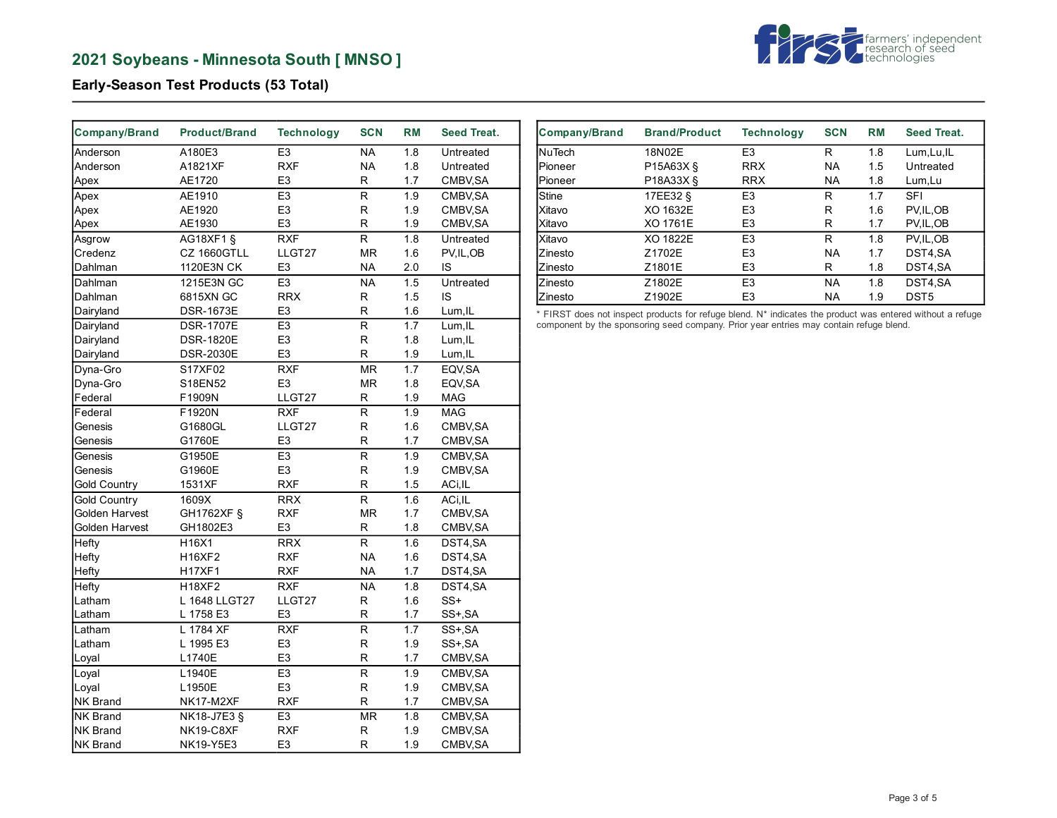

## **Early-Season Test Products (53 Total)**

| Company/Brand       | <b>Product/Brand</b> | <b>Technology</b> | <b>SCN</b>              | <b>RM</b>        | Seed Treat. |
|---------------------|----------------------|-------------------|-------------------------|------------------|-------------|
| Anderson            | A180E3               | E <sub>3</sub>    | <b>NA</b>               | 1.8              | Untreated   |
| Anderson            | A1821XF              | <b>RXF</b>        | <b>NA</b>               | 1.8              | Untreated   |
| Apex                | AE1720               | E3                | R                       | 1.7              | CMBV, SA    |
| Apex                | AE1910               | E <sub>3</sub>    | $\mathsf{R}$            | 1.9              | CMBV, SA    |
| Apex                | AE1920               | E <sub>3</sub>    | R                       | 1.9              | CMBV, SA    |
| Apex                | AE1930               | E <sub>3</sub>    | R                       | 1.9              | CMBV, SA    |
| Asgrow              | AG18XF1 §            | <b>RXF</b>        | $\overline{\mathsf{R}}$ | 1.8              | Untreated   |
| Credenz             | CZ 1660GTLL          | LLGT27            | <b>MR</b>               | 1.6              | PV, IL, OB  |
| Dahlman             | 1120E3N CK           | E <sub>3</sub>    | <b>NA</b>               | 2.0              | IS          |
| Dahlman             | 1215E3N GC           | E <sub>3</sub>    | <b>NA</b>               | 1.5              | Untreated   |
| Dahlman             | 6815XN GC            | <b>RRX</b>        | R                       | 1.5              | IS          |
| Dairyland           | <b>DSR-1673E</b>     | E <sub>3</sub>    | R                       | 1.6              | Lum, IL     |
| Dairyland           | <b>DSR-1707E</b>     | E <sub>3</sub>    | $\overline{\mathsf{R}}$ | 1.7              | Lum, IL     |
| Dairyland           | <b>DSR-1820E</b>     | E <sub>3</sub>    | R                       | 1.8              | Lum, IL     |
| Dairyland           | <b>DSR-2030E</b>     | E <sub>3</sub>    | R                       | 1.9              | Lum, IL     |
| Dyna-Gro            | S17XF02              | <b>RXF</b>        | <b>MR</b>               | 1.7              | EQV, SA     |
| Dyna-Gro            | S18EN52              | E <sub>3</sub>    | <b>MR</b>               | 1.8              | EQV, SA     |
| Federal             | F1909N               | LLGT27            | R                       | 1.9              | <b>MAG</b>  |
| Federal             | F1920N               | <b>RXF</b>        | R                       | 1.9              | <b>MAG</b>  |
| Genesis             | G1680GL              | LLGT27            | R                       | 1.6              | CMBV, SA    |
| Genesis             | G1760E               | E <sub>3</sub>    | R                       | 1.7              | CMBV, SA    |
| Genesis             | G1950E               | E <sub>3</sub>    | $\overline{\mathsf{R}}$ | 1.9              | CMBV, SA    |
| Genesis             | G1960E               | E <sub>3</sub>    | $\mathsf R$             | 1.9              | CMBV, SA    |
| <b>Gold Country</b> | 1531XF               | <b>RXF</b>        | R                       | 1.5              | ACi, IL     |
| <b>Gold Country</b> | 1609X                | <b>RRX</b>        | $\overline{R}$          | 1.6              | ACi.IL      |
| Golden Harvest      | GH1762XF §           | <b>RXF</b>        | MR                      | 1.7              | CMBV, SA    |
| Golden Harvest      | GH1802E3             | E <sub>3</sub>    | R                       | 1.8              | CMBV, SA    |
| Hefty               | H16X1                | <b>RRX</b>        | $\overline{R}$          | $\overline{1.6}$ | DST4,SA     |
| Hefty               | <b>H16XF2</b>        | <b>RXF</b>        | <b>NA</b>               | 1.6              | DST4,SA     |
| Hefty               | <b>H17XF1</b>        | <b>RXF</b>        | <b>NA</b>               | 1.7              | DST4,SA     |
| Hefty               | <b>H18XF2</b>        | <b>RXF</b>        | <b>NA</b>               | 1.8              | DST4,SA     |
| Latham              | L 1648 LLGT27        | LLGT27            | R                       | 1.6              | $SS+$       |
| Latham              | L 1758 E3            | E3                | R                       | 1.7              | SS+, SA     |
| Latham              | L 1784 XF            | <b>RXF</b>        | $\overline{R}$          | 1.7              | SS+, SA     |
| Latham              | L 1995 E3            | E <sub>3</sub>    | R                       | 1.9              | SS+, SA     |
| Loyal               | L1740E               | E <sub>3</sub>    | R                       | 1.7              | CMBV, SA    |
| Loyal               | L1940E               | E <sub>3</sub>    | R                       | 1.9              | CMBV, SA    |
| Loyal               | L1950E               | E <sub>3</sub>    | R                       | 1.9              | CMBV, SA    |
| <b>NK Brand</b>     | NK17-M2XF            | <b>RXF</b>        | R                       | 1.7              | CMBV, SA    |
| <b>NK Brand</b>     | NK18-J7E3 §          | E <sub>3</sub>    | <b>MR</b>               | 1.8              | CMBV, SA    |
| NK Brand            | NK19-C8XF            | <b>RXF</b>        | $\mathsf R$             | 1.9              | CMBV, SA    |
| <b>NK Brand</b>     | NK19-Y5E3            | E <sub>3</sub>    | R                       | 1.9              | CMBV, SA    |

| <b>Company/Brand</b> | <b>Brand/Product</b> | <b>Technology</b> | <b>SCN</b> | RM  | Seed Treat.      |
|----------------------|----------------------|-------------------|------------|-----|------------------|
| <b>NuTech</b>        | 18N02E               | E <sub>3</sub>    | R          | 1.8 | Lum, Lu, IL      |
| Pioneer              | P15A63X §            | <b>RRX</b>        | <b>NA</b>  | 1.5 | Untreated        |
| Pioneer              | P18A33X §            | <b>RRX</b>        | <b>NA</b>  | 1.8 | Lum, Lu          |
| Stine                | 17EE32 §             | E <sub>3</sub>    | R          | 1.7 | <b>SFI</b>       |
| Xitavo               | XO 1632E             | E <sub>3</sub>    | R          | 1.6 | PV.IL.OB         |
| Xitavo               | XO 1761E             | E <sub>3</sub>    | R          | 1.7 | PV, IL, OB       |
| Xitavo               | XO 1822E             | E <sub>3</sub>    | R          | 1.8 | PV.IL.OB         |
| Zinesto              | Z1702E               | E <sub>3</sub>    | <b>NA</b>  | 1.7 | DST4.SA          |
| Zinesto              | Z1801E               | E <sub>3</sub>    | R          | 1.8 | DST4,SA          |
| Zinesto              | Z1802E               | E <sub>3</sub>    | <b>NA</b>  | 1.8 | DST4,SA          |
| Zinesto              | Z1902E               | E <sub>3</sub>    | <b>NA</b>  | 1.9 | DST <sub>5</sub> |

\* FIRST does not inspect products for refuge blend. N\* indicates the product was entered without a refuge component by the sponsoring seed company. Prior year entries may contain refuge blend.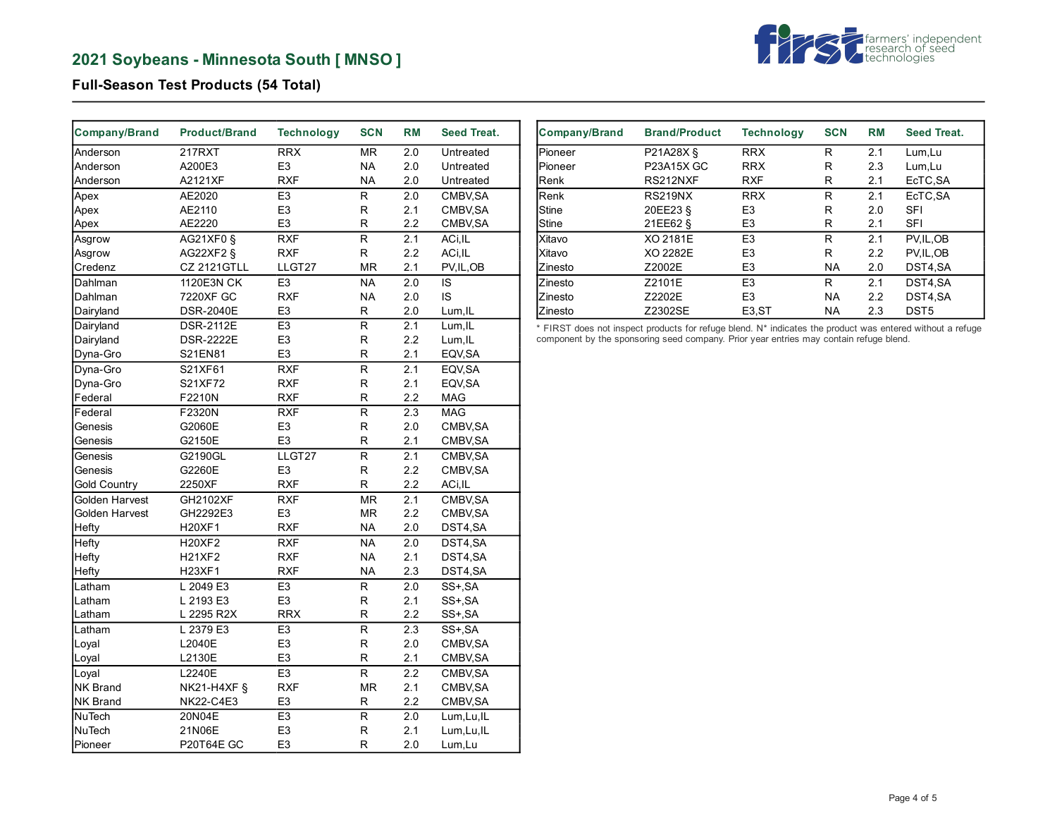

## **Full-Season Test Products (54 Total)**

| <b>Company/Brand</b> | <b>Product/Brand</b> | <b>Technology</b> | <b>SCN</b>               | <b>RM</b>        | Seed Treat. |
|----------------------|----------------------|-------------------|--------------------------|------------------|-------------|
| Anderson             | 217RXT               | <b>RRX</b>        | MR.                      | 2.0              | Untreated   |
| Anderson             | A200E3               | E <sub>3</sub>    | <b>NA</b>                | 2.0              | Untreated   |
| Anderson             | A2121XF              | <b>RXF</b>        | <b>NA</b>                | 2.0              | Untreated   |
| Apex                 | AE2020               | E <sub>3</sub>    | R                        | 2.0              | CMBV.SA     |
| Apex                 | AE2110               | E <sub>3</sub>    | R                        | 2.1              | CMBV, SA    |
| Apex                 | AE2220               | E <sub>3</sub>    | R                        | 2.2              | CMBV, SA    |
| Asgrow               | AG21XF0 §            | <b>RXF</b>        | R                        | 2.1              | ACi, IL     |
| Asgrow               | AG22XF2 §            | <b>RXF</b>        | R                        | 2.2              | ACi, IL     |
| Credenz              | CZ 2121GTLL          | LLGT27            | <b>MR</b>                | 2.1              | PV, IL, OB  |
| Dahlman              | 1120E3N CK           | E <sub>3</sub>    | <b>NA</b>                | 2.0              | IS          |
| Dahlman              | 7220XF GC            | <b>RXF</b>        | <b>NA</b>                | 2.0              | IS          |
| Dairyland            | <b>DSR-2040E</b>     | E <sub>3</sub>    | R                        | 2.0              | Lum, IL     |
| Dairyland            | <b>DSR-2112E</b>     | E <sub>3</sub>    | $\overline{\mathsf{R}}$  | 2.1              | Lum, IL     |
| Dairyland            | <b>DSR-2222E</b>     | E <sub>3</sub>    | R                        | 2.2              | Lum, IL     |
| Dyna-Gro             | S21EN81              | E <sub>3</sub>    | R                        | 2.1              | EQV, SA     |
| Dyna-Gro             | S21XF61              | <b>RXF</b>        | R                        | 2.1              | EQV, SA     |
| Dyna-Gro             | S21XF72              | <b>RXF</b>        | R                        | 2.1              | EQV, SA     |
| Federal              | F2210N               | <b>RXF</b>        | R                        | 2.2              | <b>MAG</b>  |
| Federal              | F2320N               | <b>RXF</b>        | R                        | 2.3              | <b>MAG</b>  |
| Genesis              | G2060E               | E <sub>3</sub>    | R                        | 2.0              | CMBV, SA    |
| Genesis              | G2150E               | E <sub>3</sub>    | R                        | 2.1              | CMBV, SA    |
| Genesis              | G2190GL              | LLGT27            | R                        | 2.1              | CMBV, SA    |
| Genesis              | G2260E               | E <sub>3</sub>    | R                        | 2.2              | CMBV, SA    |
| <b>Gold Country</b>  | 2250XF               | <b>RXF</b>        | R                        | 2.2              | ACi, IL     |
| Golden Harvest       | GH2102XF             | <b>RXF</b>        | MR                       | 2.1              | CMBV, SA    |
| Golden Harvest       | GH2292E3             | E <sub>3</sub>    | MR                       | 2.2              | CMBV, SA    |
| Hefty                | <b>H20XF1</b>        | <b>RXF</b>        | <b>NA</b>                | 2.0              | DST4,SA     |
| Hefty                | <b>H20XF2</b>        | <b>RXF</b>        | $\overline{\mathsf{NA}}$ | 2.0              | DST4,SA     |
| Hefty                | <b>H21XF2</b>        | <b>RXF</b>        | <b>NA</b>                | 2.1              | DST4,SA     |
| Hefty                | <b>H23XF1</b>        | <b>RXF</b>        | <b>NA</b>                | 2.3              | DST4,SA     |
| Latham               | L 2049 E3            | E <sub>3</sub>    | R                        | 2.0              | SS+, SA     |
| Latham               | L 2193 E3            | E <sub>3</sub>    | R                        | 2.1              | SS+, SA     |
| Latham               | L 2295 R2X           | <b>RRX</b>        | R                        | 2.2              | SS+, SA     |
| Latham               | L 2379 E3            | E <sub>3</sub>    | $\overline{R}$           | $\overline{2.3}$ | SS+, SA     |
| Loyal                | L2040E               | E <sub>3</sub>    | R                        | 2.0              | CMBV, SA    |
| Loyal                | L2130E               | E <sub>3</sub>    | R                        | 2.1              | CMBV, SA    |
| Loyal                | L2240E               | E <sub>3</sub>    | R                        | 2.2              | CMBV, SA    |
| <b>NK Brand</b>      | NK21-H4XF §          | <b>RXF</b>        | <b>MR</b>                | 2.1              | CMBV, SA    |
| NK Brand             | <b>NK22-C4E3</b>     | E <sub>3</sub>    | R                        | 2.2              | CMBV, SA    |
| NuTech               | 20N04E               | E <sub>3</sub>    | R                        | 2.0              | Lum, Lu, IL |
| NuTech               | 21N06E               | E <sub>3</sub>    | R                        | 2.1              | Lum, Lu, IL |
| Pioneer              | P20T64E GC           | E <sub>3</sub>    | R                        | 2.0              | Lum, Lu     |

| <b>Company/Brand</b> | <b>Brand/Product</b> | <b>Technology</b>  | <b>SCN</b> | <b>RM</b> | Seed Treat.      |
|----------------------|----------------------|--------------------|------------|-----------|------------------|
| Pioneer              | P21A28X §            | <b>RRX</b>         | R          | 2.1       | Lum.Lu           |
| Pioneer              | P23A15X GC           | <b>RRX</b>         | R          | 2.3       | Lum, Lu          |
| lRenk                | RS212NXF             | <b>RXF</b>         | R          | 2.1       | EcTC, SA         |
| Renk                 | RS219NX              | <b>RRX</b>         | R          | 2.1       | EcTC, SA         |
| Stine                | 20EE23 §             | E <sub>3</sub>     | R          | 2.0       | <b>SFI</b>       |
| Stine                | 21EE62 §             | E <sub>3</sub>     | R          | 2.1       | <b>SFI</b>       |
| Xitavo               | XO 2181E             | E <sub>3</sub>     | R          | 2.1       | PV, IL, OB       |
| Xitavo               | XO 2282E             | E <sub>3</sub>     | R          | 2.2       | PV.IL.OB         |
| Zinesto              | Z2002E               | E <sub>3</sub>     | NA.        | 2.0       | DST4,SA          |
| Zinesto              | Z2101E               | E <sub>3</sub>     | R          | 2.1       | DST4.SA          |
| Zinesto              | Z2202E               | E <sub>3</sub>     | <b>NA</b>  | 2.2       | DST4.SA          |
| Zinesto              | Z2302SE              | E <sub>3</sub> .ST | <b>NA</b>  | 2.3       | DST <sub>5</sub> |

\* FIRST does not inspect products for refuge blend. N\* indicates the product was entered without a refuge component by the sponsoring seed company. Prior year entries may contain refuge blend.